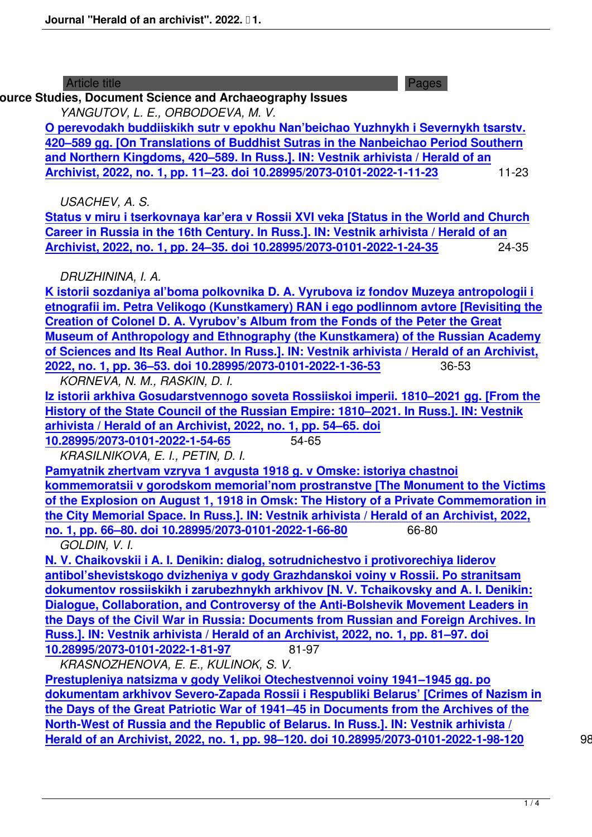# **Archive Studies, Document Science and Archaeography Issues**

*YANGUTOV, L. E., ORBODOEVA, M. V.*

**O perevodakh buddiiskikh sutr v epokhu Nan'beichao Yuzhnykh i Severnykh tsarstv. 420–589 gg. [On Translations of Buddhist Sutras in the Nanbeichao Period Southern and Northern Kingdoms, 420–589. In Russ.]. IN: Vestnik arhivista / Herald of an [Archivist, 2022, no. 1, pp. 11–23. doi 10.28995/2073-0101-2022-1-11-23](2022-1/1414-on-translations-of-buddhist-sutras-in-the-nanbeichao-period-southern-and-northern-kingdoms-420589.html)** 11-23

*[USACHEV, A. S.](2022-1/1414-on-translations-of-buddhist-sutras-in-the-nanbeichao-period-southern-and-northern-kingdoms-420589.html)*

**[Status v miru i tserkovnaya kar'era v Rossii XVI veka \[Status in the Wo](2022-1/1414-on-translations-of-buddhist-sutras-in-the-nanbeichao-period-southern-and-northern-kingdoms-420589.html)rld and Church Career in Russia in the 16th Century. In Russ.]. IN: Vestnik arhivista / Herald of an Archivist, 2022, no. 1, pp. 24–35. doi 10.28995/2073-0101-2022-1-24-35** 24-35

*[DRUZHININA, I. A.](2022-1/1415-the-status-in-the-world-and-the-church-career-in-russia-in-the-16th-century.html)*

**[K istorii sozdaniya al'boma polkovnika D. A. Vyrubova iz fondov Muze](2022-1/1415-the-status-in-the-world-and-the-church-career-in-russia-in-the-16th-century.html)ya antropologii i etnografii im. Petra Velikogo (Kunstkamery) RAN i ego podlinnom avtore [Revisiting the Creation of Colonel D. A. Vyrubov's Album from the Fonds of the Peter the Great [Museum of Anthropology and Ethnography \(the Kunstkamera\) of the Russian Academ](2022-1/1416-revisiting-the-creation-of-colonel-d-a-vyrubovs-album-from-the-fonds-of-the-peter-the-great-museum-of-anthropology-and-ethnography-the-kunstkamera-of-the-russian-academy-of-sciences-and-its-real-author.html)y [of Sciences and Its Real Author. In Russ.\]. IN: Vestnik arhivista / Herald of an Archivist,](2022-1/1416-revisiting-the-creation-of-colonel-d-a-vyrubovs-album-from-the-fonds-of-the-peter-the-great-museum-of-anthropology-and-ethnography-the-kunstkamera-of-the-russian-academy-of-sciences-and-its-real-author.html) [2022, no. 1, pp. 36–53. doi 10.28995/2073-0101-2022-1-36-53](2022-1/1416-revisiting-the-creation-of-colonel-d-a-vyrubovs-album-from-the-fonds-of-the-peter-the-great-museum-of-anthropology-and-ethnography-the-kunstkamera-of-the-russian-academy-of-sciences-and-its-real-author.html)** 36-53

*[KORNEVA, N. M., RASKIN, D. I.](2022-1/1416-revisiting-the-creation-of-colonel-d-a-vyrubovs-album-from-the-fonds-of-the-peter-the-great-museum-of-anthropology-and-ethnography-the-kunstkamera-of-the-russian-academy-of-sciences-and-its-real-author.html)*

**[Iz istorii arkhiva Gosudarstvennogo soveta Rossiiskoi imperii. 1810–2021 gg. \[From the](2022-1/1416-revisiting-the-creation-of-colonel-d-a-vyrubovs-album-from-the-fonds-of-the-peter-the-great-museum-of-anthropology-and-ethnography-the-kunstkamera-of-the-russian-academy-of-sciences-and-its-real-author.html) [History of the State Council of the Russian Empire: 1810–20](2022-1/1416-revisiting-the-creation-of-colonel-d-a-vyrubovs-album-from-the-fonds-of-the-peter-the-great-museum-of-anthropology-and-ethnography-the-kunstkamera-of-the-russian-academy-of-sciences-and-its-real-author.html)21. In Russ.]. IN: Vestnik arhivista / Herald of an Archivist, 2022, no. 1, pp. 54–65. doi**

**[10.28995/2073-0101-2022-1-54-65](2022-1/1417-from-the-history-of-the-state-council-of-the-russian-empire-18102021.html)** 54-65

*[KRASILNIKOVA, E. I., PETIN, D. I.](2022-1/1417-from-the-history-of-the-state-council-of-the-russian-empire-18102021.html)*

**[Pamyatnik zhertvam vzryva 1 avgusta 1918 g. v Omske: isto](2022-1/1417-from-the-history-of-the-state-council-of-the-russian-empire-18102021.html)riya chastnoi [kommemoratsii v gorodskom me](2022-1/1417-from-the-history-of-the-state-council-of-the-russian-empire-18102021.html)morial'nom prostranstve [The Monument to the Victims of the Explosion on August 1, 1918 in Omsk: The History of a Private Commemoration in [the City Memorial Space. In Russ.\]. IN: Vestnik arhivista / Herald of an Arc](2022-1/1418-the-monument-to-the-victims-of-the-explosion-on-august-1-1918-in-omsk-the-history-of-a-private-commemoration-in-the-city-memorial-space.html)hivist, 2022, [no. 1, pp. 66–80. doi 10.28995/2073-0101-2022-1-66-80](2022-1/1418-the-monument-to-the-victims-of-the-explosion-on-august-1-1918-in-omsk-the-history-of-a-private-commemoration-in-the-city-memorial-space.html)** 66-80

*GOLDIN, V. I.*

**[N. V. Chaikovskii i A. I. Denikin: dialog, sotrudnichestvo i protivorechiya liderov](2022-1/1418-the-monument-to-the-victims-of-the-explosion-on-august-1-1918-in-omsk-the-history-of-a-private-commemoration-in-the-city-memorial-space.html) [antibol'shevistskogo dvizheniya v gody Grazhdansko](2022-1/1418-the-monument-to-the-victims-of-the-explosion-on-august-1-1918-in-omsk-the-history-of-a-private-commemoration-in-the-city-memorial-space.html)i voiny v Rossii. Po stranitsam dokumentov rossiiskikh i zarubezhnykh arkhivov [N. V. Tchaikovsky and A. I. Denikin: [Dialogue, Collaboration, and Controversy of the Anti-Bolshevik Movement Lead](2022-1/1419-n-v-tchaikovsky-and-a-i-denikin-dialogue-collaboration-and-controversy-of-the-anti-bolshevik-movement-leaders-in-the-days-of-the-civil-war-in-russia-documents-from-russian-and-foreign-archives.html)ers in [the Days of the Civil War in Russia: Documents from Russian and Foreign Archives.](2022-1/1419-n-v-tchaikovsky-and-a-i-denikin-dialogue-collaboration-and-controversy-of-the-anti-bolshevik-movement-leaders-in-the-days-of-the-civil-war-in-russia-documents-from-russian-and-foreign-archives.html) In [Russ.\]. IN: Vestnik arhivista / Herald of an Archivist, 2022, no. 1, pp. 81–97. doi](2022-1/1419-n-v-tchaikovsky-and-a-i-denikin-dialogue-collaboration-and-controversy-of-the-anti-bolshevik-movement-leaders-in-the-days-of-the-civil-war-in-russia-documents-from-russian-and-foreign-archives.html) [10.28995/2073-0101-2022-1-81-97](2022-1/1419-n-v-tchaikovsky-and-a-i-denikin-dialogue-collaboration-and-controversy-of-the-anti-bolshevik-movement-leaders-in-the-days-of-the-civil-war-in-russia-documents-from-russian-and-foreign-archives.html)** 81-97

 *[KRASNOZHENOVA, E. E., KULINOK, S. V.](2022-1/1419-n-v-tchaikovsky-and-a-i-denikin-dialogue-collaboration-and-controversy-of-the-anti-bolshevik-movement-leaders-in-the-days-of-the-civil-war-in-russia-documents-from-russian-and-foreign-archives.html)* **[Prestupleniya natsizma v gody Velikoi Otechestvennoi voiny 1941–1945 gg. po](2022-1/1419-n-v-tchaikovsky-and-a-i-denikin-dialogue-collaboration-and-controversy-of-the-anti-bolshevik-movement-leaders-in-the-days-of-the-civil-war-in-russia-documents-from-russian-and-foreign-archives.html) [dokumentam arkhivov Severo-Za](2022-1/1419-n-v-tchaikovsky-and-a-i-denikin-dialogue-collaboration-and-controversy-of-the-anti-bolshevik-movement-leaders-in-the-days-of-the-civil-war-in-russia-documents-from-russian-and-foreign-archives.html)pada Rossii i Respubliki Belarus' [Crimes of Nazism in the Days of the Great Patriotic War of 1941–45 in Documents from the Archives of the [North-West of Russia and the Republic of Belarus. In Russ.\]. IN: Vestnik arhivis](2022-1/1420-crimes-of-nazism-in-the-days-of-the-great-patriotic-war-of-194145-in-documents-from-the-archives-of-the-north-west-of-russia-and-the-republic-of-belarus.html)ta / [Herald of an Archivist, 2022, no. 1, pp. 98–120. doi 10.28995/2073-0101-2022-1-98-120](2022-1/1420-crimes-of-nazism-in-the-days-of-the-great-patriotic-war-of-194145-in-documents-from-the-archives-of-the-north-west-of-russia-and-the-republic-of-belarus.html)** 98-12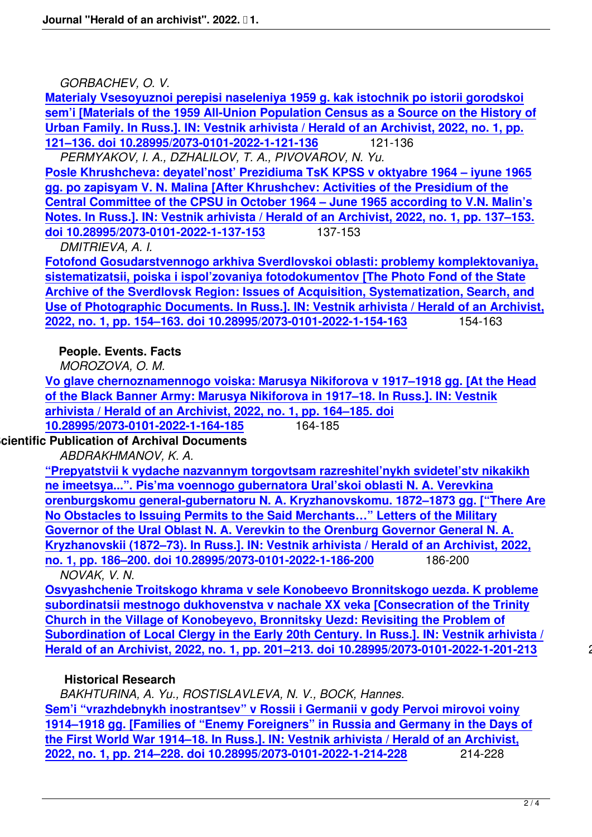*GORBACHEV, O. V.*

**Materialy Vsesoyuznoi perepisi naseleniya 1959 g. kak istochnik po istorii gorodskoi sem'i [Materials of the 1959 All-Union Population Census as a Source on the History of Urban Family. In Russ.]. IN: Vestnik arhivista / Herald of an Archivist, 2022, no. 1, pp. [121–136. doi 10.28995/2073-0101-2022-1-121-136](2022-1/1421-materials-of-the-1959-all-union-population-census-as-a-source-on-the-history-of-urban-family.html)** 121-136

 *[PERMYAKOV, I. A., DZHALILOV, T. A., PIVOVAROV, N. Yu.](2022-1/1421-materials-of-the-1959-all-union-population-census-as-a-source-on-the-history-of-urban-family.html)* **[Posle Khrushcheva: deyatel'nost' Prezidiuma TsK KPSS v oktyabre 1964 – iyune 196](2022-1/1421-materials-of-the-1959-all-union-population-census-as-a-source-on-the-history-of-urban-family.html)5 [gg. po zapisyam V. N. Malina \[After Khrushchev:](2022-1/1421-materials-of-the-1959-all-union-population-census-as-a-source-on-the-history-of-urban-family.html) Activities of the Presidium of the Central Committee of the CPSU in October 1964 – June 1965 according to V.N. Malin's [Notes. In Russ.\]. IN: Vestnik arhivista / Herald of an Archivist, 2022, no. 1, pp. 137–153.](2022-1/1422-after-khrushchev-activities-of-the-presidium-of-the-central-committee-of-the-cpsu-in-october-1964--june-1965-according-to-vn-malins-notes-.html) [doi 10.28995/2073-0101-2022-1-137-153](2022-1/1422-after-khrushchev-activities-of-the-presidium-of-the-central-committee-of-the-cpsu-in-october-1964--june-1965-according-to-vn-malins-notes-.html)** 137-153

*[DMITRIEVA, A. I.](2022-1/1422-after-khrushchev-activities-of-the-presidium-of-the-central-committee-of-the-cpsu-in-october-1964--june-1965-according-to-vn-malins-notes-.html)*

**[Fotofond Gosudarstvennogo arkhiva Sverdlovskoi oblasti: problemy komplektovaniya](2022-1/1422-after-khrushchev-activities-of-the-presidium-of-the-central-committee-of-the-cpsu-in-october-1964--june-1965-according-to-vn-malins-notes-.html), [sistematizatsii, poiska i ispol'zovaniya](2022-1/1422-after-khrushchev-activities-of-the-presidium-of-the-central-committee-of-the-cpsu-in-october-1964--june-1965-according-to-vn-malins-notes-.html) fotodokumentov [The Photo Fond of the State Archive of the Sverdlovsk Region: Issues of Acquisition, Systematization, Search, and [Use of Photographic Documents. In Russ.\]. IN: Vestnik arhivista / Herald of an Archivist](2022-1/1423-the-photo-fond-of-the-state-archive-of-the-sverdlovsk-region-issues-of-acquisition-systematization-search-and-use-of-photographic-documents.html), [2022, no. 1, pp. 154–163. doi 10.28995/2073-0101-2022-1-154-163](2022-1/1423-the-photo-fond-of-the-state-archive-of-the-sverdlovsk-region-issues-of-acquisition-systematization-search-and-use-of-photographic-documents.html)** 154-163

**[People. Events. Facts](2022-1/1423-the-photo-fond-of-the-state-archive-of-the-sverdlovsk-region-issues-of-acquisition-systematization-search-and-use-of-photographic-documents.html)**

*[MOROZOVA, O. M.](2022-1/1423-the-photo-fond-of-the-state-archive-of-the-sverdlovsk-region-issues-of-acquisition-systematization-search-and-use-of-photographic-documents.html)*

**Vo glave chernoznamennogo voiska: Marusya Nikiforova v 1917–1918 gg. [At the Head of the Black Banner Army: Marusya Nikiforova in 1917–18. In Russ.]. IN: Vestnik arhivista / Herald of an Archivist, 2022, no. 1, pp. 164–185. doi [10.28995/2073-0101-2022-1-164-185](2022-1/1424-at-the-head-of-the-black-banner-army-marusya-nikiforova-in-191718.html)** 164-185

**Scientifi[c Publication оf Archival Documents](2022-1/1424-at-the-head-of-the-black-banner-army-marusya-nikiforova-in-191718.html)**

*[ABDRAKHMANOV, K. A.](2022-1/1424-at-the-head-of-the-black-banner-army-marusya-nikiforova-in-191718.html)*

| "Prepyatstvii k vydache nazvannym torgovtsam razreshitel'nykh svidetel'stv nikakikh       |         |
|-------------------------------------------------------------------------------------------|---------|
| ne imeetsya". Pis'ma voennogo gubernatora Ural'skoi oblasti N. A. Verevkina               |         |
| orenburgskomu general-gubernatoru N. A. Kryzhanovskomu. 1872–1873 gg. ["There Are         |         |
| No Obstacles to Issuing Permits to the Said Merchants" Letters of the Military            |         |
| Governor of the Ural Oblast N. A. Verevkin to the Orenburg Governor General N. A.         |         |
| Kryzhanovskii (1872–73). In Russ.]. IN: Vestnik arhivista / Herald of an Archivist, 2022, |         |
| no. 1, pp. 186-200. doi 10.28995/2073-0101-2022-1-186-200                                 | 186-200 |
| NOVAK, V.N.                                                                               |         |

**[Osvyashchenie Troitskogo khrama v sele Konobeevo Bronnitskogo uezda. K problem](2022-1/1425-there-are-no-obstacles-to-issuing-permits-to-the-said-merchants-letters-of-the-military-governor-of-the-ural-oblast-n-a-verevkin-to-the-orenburg-governor-general-n-a-kryzhanovskii-187273.html)e [subordinatsii mestnogo dukhovenstva v nachale XX veka](2022-1/1425-there-are-no-obstacles-to-issuing-permits-to-the-said-merchants-letters-of-the-military-governor-of-the-ural-oblast-n-a-verevkin-to-the-orenburg-governor-general-n-a-kryzhanovskii-187273.html) [Consecration of the Trinity Church in the Village of Konobeyevo, Bronnitsky Uezd: Revisiting the Problem of [Subordination of Local Clergy in the Early 20th Century. In Russ.\]. IN: Vestnik arhivista](2022-1/1426-consecration-of-the-trinity-church-in-the-village-of-konobeyevo-bronnitsky-uezd-revisiting-the-problem-of-subordination-of-local-clergy-in-the-early-20th-century.html) / [Herald of an Archivist, 2022, no. 1, pp. 201–213. doi 10.28995/2073-0101-2022-1-201-21](2022-1/1426-consecration-of-the-trinity-church-in-the-village-of-konobeyevo-bronnitsky-uezd-revisiting-the-problem-of-subordination-of-local-clergy-in-the-early-20th-century.html)3** 201-213

#### **[Historical Research](2022-1/1426-consecration-of-the-trinity-church-in-the-village-of-konobeyevo-bronnitsky-uezd-revisiting-the-problem-of-subordination-of-local-clergy-in-the-early-20th-century.html)**

 *[BAKHTURINA, A. Yu., ROSTISLAVLEVA, N. V., BOCK, Hannes.](2022-1/1426-consecration-of-the-trinity-church-in-the-village-of-konobeyevo-bronnitsky-uezd-revisiting-the-problem-of-subordination-of-local-clergy-in-the-early-20th-century.html)* **Sem'i "vrazhdebnykh inostrantsev" v Rossii i Germanii v gody Pervoi mirovoi voiny 1914–1918 gg. [Families of "Enemy Foreigners" in Russia and Germany in the Days of the First World War 1914–18. In Russ.]. IN: Vestnik arhivista / Herald of an Archivist, [2022, no. 1, pp. 214–228. doi 10.28995/2073-0101-2022-1-214-228](2022-1/1427-families-of-enemy-foreigners-in-russia-and-germany-in-the-days-of-the-first-world-war-191418.html)** 214-228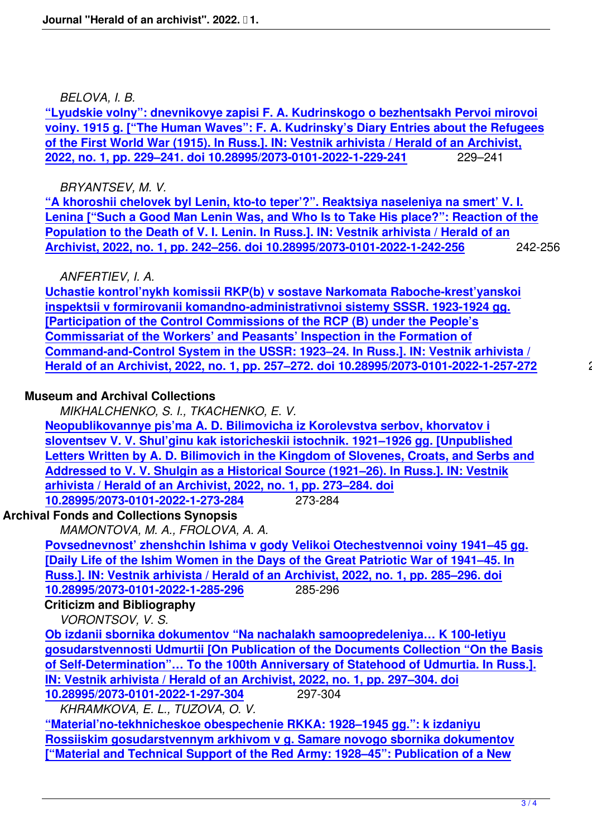*BELOVA, I. B.*

**"Lyudskie volny": dnevnikovye zapisi F. A. Kudrinskogo o bezhentsakh Pervoi mirovoi voiny. 1915 g. ["The Human Waves": F. A. Kudrinsky's Diary Entries about the Refugees of the First World War (1915). In Russ.]. IN: Vestnik arhivista / Herald of an Archivist, [2022, no. 1, pp. 229–241. doi 10.28995/2073-0101-2022-1-229-241](2022-1/1428-the-human-waves-f-a-kudrinskys-diary-entries-about-the-refugees-of-the-first-world-war-1915.html)** 229–241

#### *[BRYANTSEV, M. V.](2022-1/1428-the-human-waves-f-a-kudrinskys-diary-entries-about-the-refugees-of-the-first-world-war-1915.html)*

**["A khoroshii chelovek byl Lenin, kto-to teper'?". Reaktsiya nase](2022-1/1428-the-human-waves-f-a-kudrinskys-diary-entries-about-the-refugees-of-the-first-world-war-1915.html)leniya na smert' V. I. Lenina ["Such a Good Man Lenin Was, and Who Is to Take His plаce?": Reaction of the Population to the Death of V. I. Lenin. In Russ.]. IN: Vestnik arhivista / Herald of an [Archivist, 2022, no. 1, pp. 242–256. doi 10.28995/2073-0101-2022-1-242-256](2022-1/1429-such-a-good-man-lenin-was-and-who-now-reaction-of-the-population-to-the-death-of-v-i-lenin.html)** 242-256

## *[ANFERTIEV, I. A.](2022-1/1429-such-a-good-man-lenin-was-and-who-now-reaction-of-the-population-to-the-death-of-v-i-lenin.html)*

**[Uchastie kontrol'nykh komissii RKP\(b\) v sostave Narkomata Raboche-kres](2022-1/1429-such-a-good-man-lenin-was-and-who-now-reaction-of-the-population-to-the-death-of-v-i-lenin.html)t'yanskoi inspektsii v formirovanii komandno-administrativnoi sistemy SSSR. 1923-1924 gg. [Participation of the Control Commissions of the RCP (B) under the People's [Commissariat of the Workers' and Peasants' Inspection in the Formation of](2022-1/1430-participation-of-the-control-commissions-of-the-rcp-b-under-the-peoples-commissariat-of-the-workers-and-peasants-inspection-in-the-formation-of-command-and-control-system-in-the-ussr-192324.html) [Command-and-Control System in the USSR: 1923–24. In Russ.\]. IN: Vestnik arhivis](2022-1/1430-participation-of-the-control-commissions-of-the-rcp-b-under-the-peoples-commissariat-of-the-workers-and-peasants-inspection-in-the-formation-of-command-and-control-system-in-the-ussr-192324.html)ta / [Herald of an Archivist, 2022, no. 1, pp. 257–272. doi 10.28995/2073-0101-2022](2022-1/1430-participation-of-the-control-commissions-of-the-rcp-b-under-the-peoples-commissariat-of-the-workers-and-peasants-inspection-in-the-formation-of-command-and-control-system-in-the-ussr-192324.html)-1-257-272** 257-272

## **Mu[seum and Archival Collections](2022-1/1430-participation-of-the-control-commissions-of-the-rcp-b-under-the-peoples-commissariat-of-the-workers-and-peasants-inspection-in-the-formation-of-command-and-control-system-in-the-ussr-192324.html)**

*[MIKHALCHENKO, S. I., TKACHENKO, E. V.](2022-1/1430-participation-of-the-control-commissions-of-the-rcp-b-under-the-peoples-commissariat-of-the-workers-and-peasants-inspection-in-the-formation-of-command-and-control-system-in-the-ussr-192324.html)*

**Neopublikovannye pis'ma A. D. Bilimovicha iz Korolevstva serbov, khorvatov i sloventsev V. V. Shul'ginu kak istoricheskii istochnik. 1921–1926 gg. [Unpublished Letters Written by A. D. Bilimovich in the Kingdom of Slovenes, Croats, and Serbs and [Addressed to V. V. Shulgin as a Historical Source \(1921–26\). In Russ.\]. IN: Vest](2022-1/1431-unpublished-letters-written-by-a-d-bilimovich-in-the-kingdom-of-slovenes-croats-and-serbs-and-addressed-to-v-v-shulgin-as-a-historical-source-1921-26.html)nik [arhivista / Herald of an Archivist, 2022, no. 1, pp. 273–284. doi](2022-1/1431-unpublished-letters-written-by-a-d-bilimovich-in-the-kingdom-of-slovenes-croats-and-serbs-and-addressed-to-v-v-shulgin-as-a-historical-source-1921-26.html) [10.28995/2073-0101-2022-1-273-284](2022-1/1431-unpublished-letters-written-by-a-d-bilimovich-in-the-kingdom-of-slovenes-croats-and-serbs-and-addressed-to-v-v-shulgin-as-a-historical-source-1921-26.html)** 273-284

# **Archiv[al Fonds and Collections Synopsis](2022-1/1431-unpublished-letters-written-by-a-d-bilimovich-in-the-kingdom-of-slovenes-croats-and-serbs-and-addressed-to-v-v-shulgin-as-a-historical-source-1921-26.html)**

*[MAMONTOVA, M. A., FROLOVA, A. A.](2022-1/1431-unpublished-letters-written-by-a-d-bilimovich-in-the-kingdom-of-slovenes-croats-and-serbs-and-addressed-to-v-v-shulgin-as-a-historical-source-1921-26.html)*

**[Povsednevnost' zhenshchin Ishima](2022-1/1431-unpublished-letters-written-by-a-d-bilimovich-in-the-kingdom-of-slovenes-croats-and-serbs-and-addressed-to-v-v-shulgin-as-a-historical-source-1921-26.html) v gody Velikoi Otechestvennoi voiny 1941–45 gg. [Daily Life of the Ishim Women in the Days of the Great Patriotic War of 1941–45. In Russ.]. IN: Vestnik arhivista / Herald of an Archivist, 2022, no. 1, pp. 285–296. doi [10.28995/2073-0101-2022-1-285-296](2022-1/1432-daily-life-of-the-ishim-women-in-the-days-of-the-great-patriotic-war-of-19411945.html)** 285-296

# **[Criticizm and Bibliography](2022-1/1432-daily-life-of-the-ishim-women-in-the-days-of-the-great-patriotic-war-of-19411945.html)**

*[VORONTSOV, V. S.](2022-1/1432-daily-life-of-the-ishim-women-in-the-days-of-the-great-patriotic-war-of-19411945.html)*

**[Ob izdanii sbornika dokumentov "N](2022-1/1432-daily-life-of-the-ishim-women-in-the-days-of-the-great-patriotic-war-of-19411945.html)a nachalakh samoopredeleniya… K 100-letiyu gosudarstvennosti Udmurtii [On Publication of the Documents Collection "On the Basis of Self-Determination"… To the 100th Anniversary of Statehood of Udmurtia. In Russ.]. [IN: Vestnik arhivista / Herald of an Archivist, 2022, no. 1, pp. 297–304. doi](2022-1/1433-on-publication-of-the-documents-collection-on-the-basis-of-self-determination-to-the-100th-anniversary-of-statehood-of-udmurtia.html) [10.28995/2073-0101-2022-1-297-304](2022-1/1433-on-publication-of-the-documents-collection-on-the-basis-of-self-determination-to-the-100th-anniversary-of-statehood-of-udmurtia.html)** 297-304

*[KHRAMKOVA, E. L., TUZOVA, O. V.](2022-1/1433-on-publication-of-the-documents-collection-on-the-basis-of-self-determination-to-the-100th-anniversary-of-statehood-of-udmurtia.html)*

**["Material'no-tekhnicheskoe obespechenie RKKA: 1928–1945 gg.": k izdan](2022-1/1433-on-publication-of-the-documents-collection-on-the-basis-of-self-determination-to-the-100th-anniversary-of-statehood-of-udmurtia.html)iyu [Rossiiskim gosudarstvennym arkhi](2022-1/1433-on-publication-of-the-documents-collection-on-the-basis-of-self-determination-to-the-100th-anniversary-of-statehood-of-udmurtia.html)vom v g. Samare novogo sbornika dokumentov ["Material and Technical Support of the Red Army: 1928–45": Publication of a New**